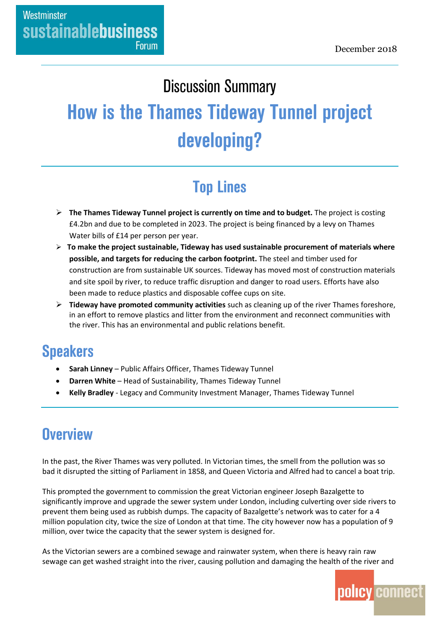#### **Discussion Summary**

# **How is the Thames Tideway Tunnel project** developing?

## **Top Lines**

- **The Thames Tideway Tunnel project is currently on time and to budget.** The project is costing £4.2bn and due to be completed in 2023. The project is being financed by a levy on Thames Water bills of £14 per person per year.
- **To make the project sustainable, Tideway has used sustainable procurement of materials where possible, and targets for reducing the carbon footprint.** The steel and timber used for construction are from sustainable UK sources. Tideway has moved most of construction materials and site spoil by river, to reduce traffic disruption and danger to road users. Efforts have also been made to reduce plastics and disposable coffee cups on site.
- **Tideway have promoted community activities** such as cleaning up of the river Thames foreshore, in an effort to remove plastics and litter from the environment and reconnect communities with the river. This has an environmental and public relations benefit.

#### **Speakers**

- **Sarah Linney**  Public Affairs Officer, Thames Tideway Tunnel
- **Darren White** Head of Sustainability, Thames Tideway Tunnel
- **Kelly Bradley**  Legacy and Community Investment Manager, Thames Tideway Tunnel

#### **Overview**

In the past, the River Thames was very polluted. In Victorian times, the smell from the pollution was so bad it disrupted the sitting of Parliament in 1858, and Queen Victoria and Alfred had to cancel a boat trip.

This prompted the government to commission the great Victorian engineer Joseph Bazalgette to significantly improve and upgrade the sewer system under London, including culverting over side rivers to prevent them being used as rubbish dumps. The capacity of Bazalgette's network was to cater for a 4 million population city, twice the size of London at that time. The city however now has a population of 9 million, over twice the capacity that the sewer system is designed for.

As the Victorian sewers are a combined sewage and rainwater system, when there is heavy rain raw sewage can get washed straight into the river, causing pollution and damaging the health of the river and

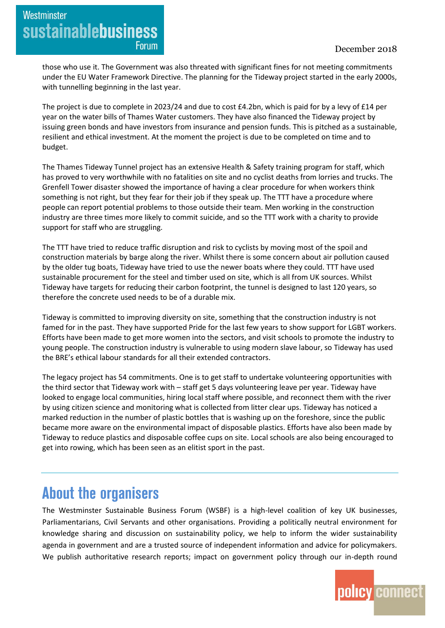Westminster **sustainablebusiness Forum** 

> those who use it. The Government was also threated with significant fines for not meeting commitments under the EU Water Framework Directive. The planning for the Tideway project started in the early 2000s, with tunnelling beginning in the last year.

> The project is due to complete in 2023/24 and due to cost £4.2bn, which is paid for by a levy of £14 per year on the water bills of Thames Water customers. They have also financed the Tideway project by issuing green bonds and have investors from insurance and pension funds. This is pitched as a sustainable, resilient and ethical investment. At the moment the project is due to be completed on time and to budget.

The Thames Tideway Tunnel project has an extensive Health & Safety training program for staff, which has proved to very worthwhile with no fatalities on site and no cyclist deaths from lorries and trucks. The Grenfell Tower disaster showed the importance of having a clear procedure for when workers think something is not right, but they fear for their job if they speak up. The TTT have a procedure where people can report potential problems to those outside their team. Men working in the construction industry are three times more likely to commit suicide, and so the TTT work with a charity to provide support for staff who are struggling.

The TTT have tried to reduce traffic disruption and risk to cyclists by moving most of the spoil and construction materials by barge along the river. Whilst there is some concern about air pollution caused by the older tug boats, Tideway have tried to use the newer boats where they could. TTT have used sustainable procurement for the steel and timber used on site, which is all from UK sources. Whilst Tideway have targets for reducing their carbon footprint, the tunnel is designed to last 120 years, so therefore the concrete used needs to be of a durable mix.

Tideway is committed to improving diversity on site, something that the construction industry is not famed for in the past. They have supported Pride for the last few years to show support for LGBT workers. Efforts have been made to get more women into the sectors, and visit schools to promote the industry to young people. The construction industry is vulnerable to using modern slave labour, so Tideway has used the BRE's ethical labour standards for all their extended contractors.

The legacy project has 54 commitments. One is to get staff to undertake volunteering opportunities with the third sector that Tideway work with – staff get 5 days volunteering leave per year. Tideway have looked to engage local communities, hiring local staff where possible, and reconnect them with the river by using citizen science and monitoring what is collected from litter clear ups. Tideway has noticed a marked reduction in the number of plastic bottles that is washing up on the foreshore, since the public became more aware on the environmental impact of disposable plastics. Efforts have also been made by Tideway to reduce plastics and disposable coffee cups on site. Local schools are also being encouraged to get into rowing, which has been seen as an elitist sport in the past.

### **About the organisers**

The Westminster Sustainable Business Forum (WSBF) is a high-level coalition of key UK businesses, Parliamentarians, Civil Servants and other organisations. Providing a politically neutral environment for knowledge sharing and discussion on sustainability policy, we help to inform the wider sustainability agenda in government and are a trusted source of independent information and advice for policymakers. We publish authoritative research reports; impact on government policy through our in-depth round